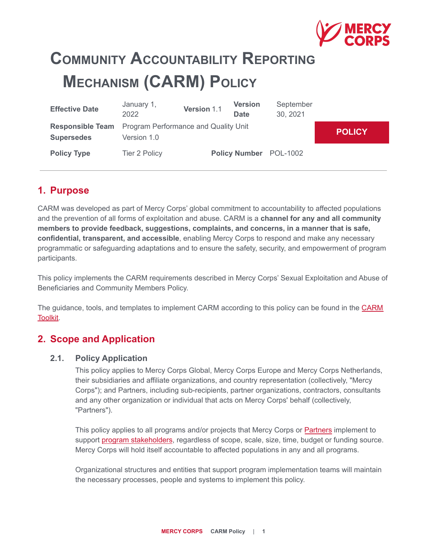

# **COMMUNITY ACCOUNTABILITY REPORTING MECHANISM (CARM) POLICY**

| <b>Effective Date</b>                                                             | January 1,<br>2022   | Version 1.1 | <b>Version</b><br><b>Date</b> | September<br>30, 2021  |               |
|-----------------------------------------------------------------------------------|----------------------|-------------|-------------------------------|------------------------|---------------|
| <b>Responsible Team</b> Program Performance and Quality Unit<br><b>Supersedes</b> | Version 1.0          |             |                               |                        | <b>POLICY</b> |
| <b>Policy Type</b>                                                                | <b>Tier 2 Policy</b> |             |                               | Policy Number POL-1002 |               |

# **1. Purpose**

CARM was developed as part of Mercy Corps' global commitment to accountability to affected populations and the prevention of all forms of exploitation and abuse. CARM is a **channel for any and all community members to provide feedback, suggestions, complaints, and concerns, in a manner that is safe, confidential, transparent, and accessible**, enabling Mercy Corps to respond and make any necessary programmatic or safeguarding adaptations and to ensure the safety, security, and empowerment of program participants.

This policy implements the CARM requirements described in Mercy Corps' Sexual Exploitation and Abuse of Beneficiaries and Community Members Policy.

The guidance, tools, and templates to implement CARM according to this policy can be found in the [CARM](https://docs.google.com/document/d/13Ad53l5RpawmnCZLxi1UyNZmdIRN3pJgK5gC4q_jcx4/edit) [Toolkit.](https://docs.google.com/document/d/13Ad53l5RpawmnCZLxi1UyNZmdIRN3pJgK5gC4q_jcx4/edit)

# **2. Scope and Application**

#### **2.1. Policy Application**

This policy applies to Mercy Corps Global, Mercy Corps Europe and Mercy Corps Netherlands, their subsidiaries and affiliate organizations, and country representation (collectively, "Mercy Corps"); and Partners, including sub-recipients, partner organizations, contractors, consultants and any other organization or individual that acts on Mercy Corps' behalf (collectively, "Partners").

This policy applies to all programs and/or projects that Mercy Corps or Partners implement to support [program stakeholders](#page-9-0), regardless of scope, scale, size, time, budget or funding source. Mercy Corps will hold itself accountable to affected populations in any and all programs.

Organizational structures and entities that support program implementation teams will maintain the necessary processes, people and systems to implement this policy.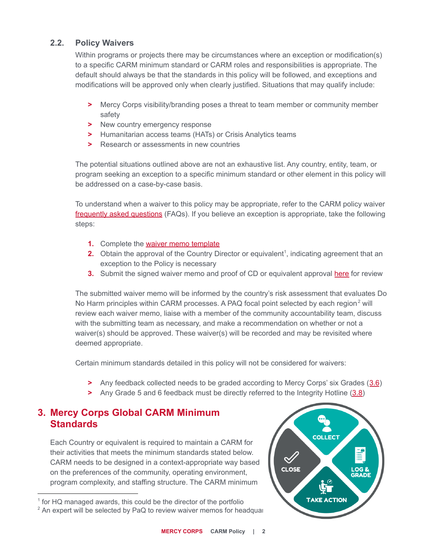## **2.2. Policy Waivers**

Within programs or projects there may be circumstances where an exception or modification(s) to a specific CARM minimum standard or CARM roles and responsibilities is appropriate. The default should always be that the standards in this policy will be followed, and exceptions and modifications will be approved only when clearly justified. Situations that may qualify include:

- **>** Mercy Corps visibility/branding poses a threat to team member or community member safety
- **>** New country emergency response
- **>** Humanitarian access teams (HATs) or Crisis Analytics teams
- **>** Research or assessments in new countries

The potential situations outlined above are not an exhaustive list. Any country, entity, team, or program seeking an exception to a specific minimum standard or other element in this policy will be addressed on a case-by-case basis.

To understand when a waiver to this policy may be appropriate, refer to the CARM policy waiver [frequently asked questions](https://library.mercycorps.org/record/32105/files/CARMPolicyModificationFAQs.pdf) (FAQs). If you believe an exception is appropriate, take the following steps:

- **1.** Complete the [waiver memo template](https://library.mercycorps.org/record/37291)
- **2.** Obtain the approval of the Country Director or equivalent<sup>1</sup>, indicating agreement that an exception to the Policy is necessary
- **3.** Submit the signed waiver memo and proof of CD or equivalent approval [here](https://forms.office.com/Pages/ResponsePage.aspx?id=KIbeCD5Z9UOc6_Pl3Xriy_P2iGa1aPpKpnJWrDXOyk5UNjBURldNNTZONVc4UjVTWk9QMlpGQzhZSC4u) for review

The submitted waiver memo will be informed by the country's risk assessment that evaluates Do No Harm principles within CARM processes. A PAQ focal point selected by each region<sup>2</sup> will review each waiver memo, liaise with a member of the community accountability team, discuss with the submitting team as necessary, and make a recommendation on whether or not a waiver(s) should be approved. These waiver(s) will be recorded and may be revisited where deemed appropriate.

Certain minimum standards detailed in this policy will not be considered for waivers:

- **>** Any feedback collected needs to be graded according to Mercy Corps' six Grades ([3.6](#page-4-0))
- **>** Any Grade 5 and 6 feedback must be directly referred to the Integrity Hotline ([3.8\)](#page-5-0)

# **3. Mercy Corps Global CARM Minimum Standards**

Each Country or equivalent is required to maintain a CARM for their activities that meets the minimum standards stated below. CARM needs to be designed in a context-appropriate way based on the preferences of the community, operating environment, program complexity, and staffing structure. The CARM minimum

 $2$  An expert will be selected by PaQ to review waiver memos for headquar



<sup>&</sup>lt;sup>1</sup> for HQ managed awards, this could be the director of the portfolio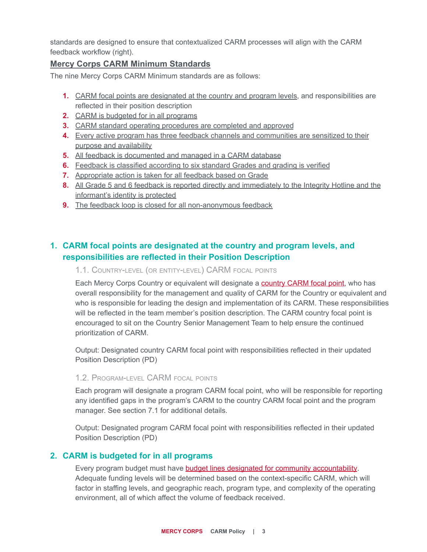standards are designed to ensure that contextualized CARM processes will align with the CARM feedback workflow (right).

## **Mercy Corps CARM Minimum Standards**

The nine Mercy Corps CARM Minimum standards are as follows:

- **1.** [CARM focal points are designated at the country and program levels](#page-2-0), and responsibilities are reflected in their position description
- **2.** [CARM is budgeted for in all programs](#page-2-1)
- **3.** [CARM standard operating procedures are completed and approved](#page-3-0)
- **4.** [Every active program has three feedback channels and communities are sensitized to their](#page-3-1) [purpose and availability](#page-3-1)
- **5.** [All feedback is documented and managed in a CARM database](#page-4-1)
- **6.** [Feedback is classified according to six standard Grades and grading is verified](#page-4-0)
- **7.** [Appropriate action is taken for all feedback based on Grade](#page-5-1)
- **8.** [All Grade 5 and 6 feedback is reported directly and immediately to the Integrity Hotline and the](#page-5-0) [informant's identity is protected](#page-5-0)
- **9.** [The feedback loop is closed for all non-anonymous feedback](#page-6-0)

# <span id="page-2-0"></span>**1. CARM focal points are designated at the country and program levels, and responsibilities are reflected in their Position Description**

## 1.1. COUNTRY-LEVEL (OR ENTITY-LEVEL) CARM FOCAL POINTS

Each Mercy Corps Country or equivalent will designate a [country CARM focal point,](https://library.mercycorps.org/record/31814/files/CountryCARMFocalPointSOW.pdf) who has overall responsibility for the management and quality of CARM for the Country or equivalent and who is responsible for leading the design and implementation of its CARM. These responsibilities will be reflected in the team member's position description. The CARM country focal point is encouraged to sit on the Country Senior Management Team to help ensure the continued prioritization of CARM.

Output: Designated country CARM focal point with responsibilities reflected in their updated Position Description (PD)

#### 1.2. PROGRAM-LEVEL CARM FOCAL POINTS

Each program will designate a program CARM focal point, who will be responsible for reporting any identified gaps in the program's CARM to the country CARM focal point and the program manager. See section 7.1 for additional details.

Output: Designated program CARM focal point with responsibilities reflected in their updated Position Description (PD)

## <span id="page-2-1"></span>**2. CARM is budgeted for in all programs**

Every program budget must have **budget lines designated [for community accountability](https://library.mercycorps.org/record/32120/files/CARMBudgetingGuidance.pdf)**. Adequate funding levels will be determined based on the context-specific CARM, which will factor in staffing levels, and geographic reach, program type, and complexity of the operating environment, all of which affect the volume of feedback received.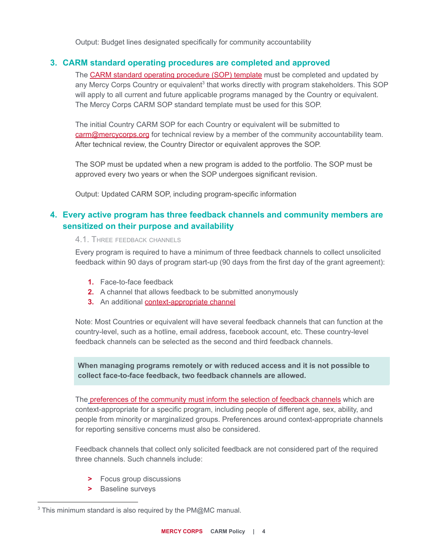Output: Budget lines designated specifically for community accountability

## <span id="page-3-0"></span>**3. CARM standard operating procedures are completed and approved**

The [CARM standard operating procedure \(SOP\) template](https://docs.google.com/document/d/1RQ0llwO8TMx6WUxIolwtBqU65f8yGgFWsKeZxRvzfOI/edit) must be completed and updated by any Mercy Corps Country or equivalent<sup>3</sup> that works directly with program stakeholders. This SOP will apply to all current and future applicable programs managed by the Country or equivalent. The Mercy Corps CARM SOP standard template must be used for this SOP.

The initial Country CARM SOP for each Country or equivalent will be submitted to [carm@mercycorps.org](mailto:carm@mercycorps.org) for technical review by a member of the community accountability team. After technical review, the Country Director or equivalent approves the SOP.

The SOP must be updated when a new program is added to the portfolio. The SOP must be approved every two years or when the SOP undergoes significant revision.

Output: Updated CARM SOP, including program-specific information

# <span id="page-3-1"></span>**4. Every active program has three feedback channels and community members are sensitized on their purpose and availability**

#### 4.1. THREE FEEDBACK CHANNELS

Every program is required to have a minimum of three feedback channels to collect unsolicited feedback within 90 days of program start-up (90 days from the first day of the grant agreement):

- **1.** Face-to-face feedback
- **2.** A channel that allows feedback to be submitted anonymously
- **3.** An additional [context-appropriate channel](https://library.mercycorps.org/record/30302/files/CARMMechanismDecisionMatrices.docx)

Note: Most Countries or equivalent will have several feedback channels that can function at the country-level, such as a hotline, email address, facebook account, etc. These country-level feedback channels can be selected as the second and third feedback channels.

**When managing programs remotely or with reduced access and it is not possible to collect face-to-face feedback, two feedback channels are allowed.**

The [preferences of the community must inform the selection](https://library.mercycorps.org/record/30389?ln=en) of feedback channels which are context-appropriate for a specific program, including people of different age, sex, ability, and people from minority or marginalized groups. Preferences around context-appropriate channels for reporting sensitive concerns must also be considered.

Feedback channels that collect only solicited feedback are not considered part of the required three channels. Such channels include:

- **>** Focus group discussions
- **>** Baseline surveys

 $3$  This minimum standard is also required by the PM@MC manual.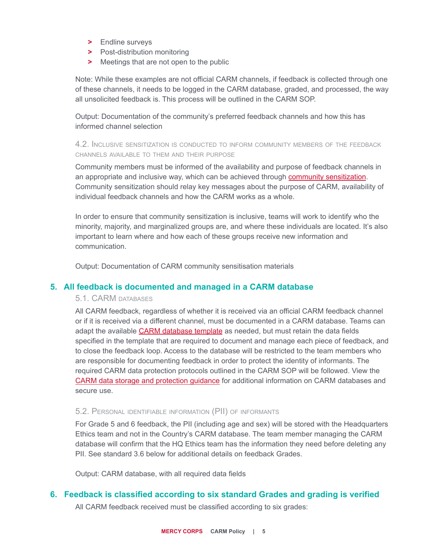- **>** Endline surveys
- **>** Post-distribution monitoring
- **>** Meetings that are not open to the public

Note: While these examples are not official CARM channels, if feedback is collected through one of these channels, it needs to be logged in the CARM database, graded, and processed, the way all unsolicited feedback is. This process will be outlined in the CARM SOP.

Output: Documentation of the community's preferred feedback channels and how this has informed channel selection

4.2. INCLUSIVE SENSITIZATION IS CONDUCTED TO INFORM COMMUNITY MEMBERS OF THE FEEDBACK CHANNELS AVAILABLE TO THEM AND THEIR PURPOSE

Community members must be informed of the availability and purpose of feedback channels in an appropriate and inclusive way, which can be achieved through [community sensitization](http://library.mercycorps.org/record/31983/files/CARMCommunitySensitizationGuide.pdf). Community sensitization should relay key messages about the purpose of CARM, availability of individual feedback channels and how the CARM works as a whole.

In order to ensure that community sensitization is inclusive, teams will work to identify who the minority, majority, and marginalized groups are, and where these individuals are located. It's also important to learn where and how each of these groups receive new information and communication.

Output: Documentation of CARM community sensitisation materials

## <span id="page-4-1"></span>**5. All feedback is documented and managed in a CARM database**

## 5.1. CARM DATABASES

All CARM feedback, regardless of whether it is received via an official CARM feedback channel or if it is received via a different channel, must be documented in a CARM database. Teams can adapt the available [CARM database template](https://library.mercycorps.org/record/31820/files/CARMDatabaseTemplate.xlsx) as needed, but must retain the data fields specified in the template that are required to document and manage each piece of feedback, and to close the feedback loop. Access to the database will be restricted to the team members who are responsible for documenting feedback in order to protect the identity of informants. The required CARM data protection protocols outlined in the CARM SOP will be followed. View the [CARM data storage and protection guidance](https://library.mercycorps.org/record/31819/files/CARMDataGuidance.pdf) for additional information on CARM databases and secure use.

#### 5.2. PERSONAL IDENTIFIABLE INFORMATION (PII) OF INFORMANTS

For Grade 5 and 6 feedback, the PII (including age and sex) will be stored with the Headquarters Ethics team and not in the Country's CARM database. The team member managing the CARM database will confirm that the HQ Ethics team has the information they need before deleting any PII. See standard 3.6 below for additional details on feedback Grades.

Output: CARM database, with all required data fields

## <span id="page-4-0"></span>**6. Feedback is classified according to six standard Grades and grading is verified**

All CARM feedback received must be classified according to six grades: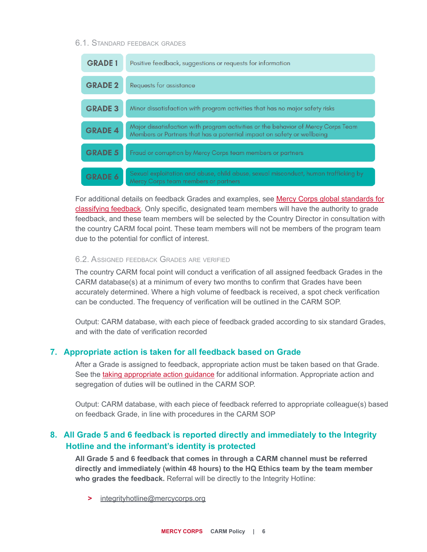#### 6.1. STANDARD FEEDBACK GRADES

| <b>GRADE 1</b> | Positive feedback, suggestions or requests for information                                                                                                  |
|----------------|-------------------------------------------------------------------------------------------------------------------------------------------------------------|
| <b>GRADE 2</b> | Requests for assistance                                                                                                                                     |
| <b>GRADE 3</b> | Minor dissatisfaction with program activities that has no major safety risks                                                                                |
| <b>GRADE 4</b> | Major dissatisfaction with program activities or the behavior of Mercy Corps Team<br>Members or Partners that has a potential impact on safety or wellbeing |
| <b>GRADE 5</b> | Fraud or corruption by Mercy Corps team members or partners                                                                                                 |
| <b>GRADE 6</b> | Sexual exploitation and abuse, child abuse, sexual misconduct, human trafficking by<br>Mercy Corps team members or partners                                 |

For additional details on feedback Grades and examples, see [Mercy Corps global standards for](https://mcdl.mercycorps.org/gsdl/docs/CARMFeedbackCategories.pdf) [classifying feedback.](https://mcdl.mercycorps.org/gsdl/docs/CARMFeedbackCategories.pdf) Only specific, designated team members will have the authority to grade feedback, and these team members will be selected by the Country Director in consultation with the country CARM focal point. These team members will not be members of the program team due to the potential for conflict of interest.

#### 6.2. ASSIGNED FEEDBACK GRADES ARE VERIFIED

The country CARM focal point will conduct a verification of all assigned feedback Grades in the CARM database(s) at a minimum of every two months to confirm that Grades have been accurately determined. Where a high volume of feedback is received, a spot check verification can be conducted. The frequency of verification will be outlined in the CARM SOP.

Output: CARM database, with each piece of feedback graded according to six standard Grades, and with the date of verification recorded

## <span id="page-5-1"></span>**7. Appropriate action is taken for all feedback based on Grade**

After a Grade is assigned to feedback, appropriate action must be taken based on that Grade. See the [taking appropriate action guidance](http://library.mercycorps.org/record/31738/files/TakingAppropriateActionGuidance.pdf) for additional information. Appropriate action and segregation of duties will be outlined in the CARM SOP.

Output: CARM database, with each piece of feedback referred to appropriate colleague(s) based on feedback Grade, in line with procedures in the CARM SOP

# <span id="page-5-0"></span>**8. All Grade 5 and 6 feedback is reported directly and immediately to the Integrity Hotline and the informant's identity is protected**

**All Grade 5 and 6 feedback that comes in through a CARM channel must be referred directly and immediately (within 48 hours) to the HQ Ethics team by the team member who grades the feedback.** Referral will be directly to the Integrity Hotline:

**>** [integrityhotline@mercycorps.org](mailto:integrityhotline@mercycorps.org)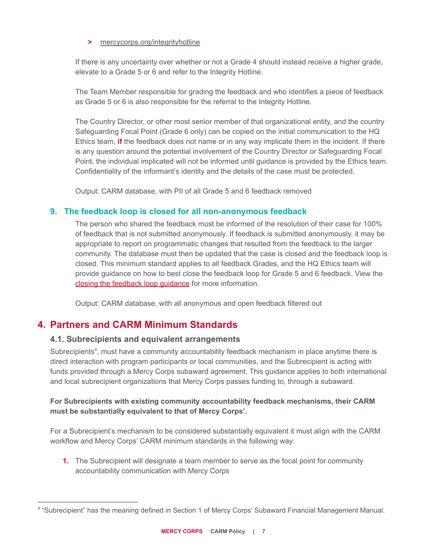#### **>** [mercycorps.org/integrityhotline](http://mercycorps.org/integrityhotline)

If there is any uncertainty over whether or not a Grade 4 should instead receive a higher grade, elevate to a Grade 5 or 6 and refer to the Integrity Hotline.

The Team Member responsible for grading the feedback and who identifies a piece of feedback as Grade 5 or 6 is also responsible for the referral to the Integrity Hotline.

The Country Director, or other most senior member of that organizational entity, and the country Safeguarding Focal Point (Grade 6 only) can be copied on the initial communication to the HQ Ethics team, **if** the feedback does not name or in any way implicate them in the incident. If there is any question around the potential involvement of the Country Director or Safeguarding Focal Point, the individual implicated will not be informed until guidance is provided by the Ethics team. Confidentiality of the informant's identity and the details of the case must be protected.

Output: CARM database, with PII of all Grade 5 and 6 feedback removed

## <span id="page-6-0"></span>**9. The feedback loop is closed for all non-anonymous feedback**

The person who shared the feedback must be informed of the resolution of their case for 100% of feedback that is not submitted anonymously. If feedback is submitted anonymously, it may be appropriate to report on programmatic changes that resulted from the feedback to the larger community. The database must then be updated that the case is closed and the feedback loop is closed. This minimum standard applies to all feedback Grades, and the HQ Ethics team will provide guidance on how to best close the feedback loop for Grade 5 and 6 feedback. View the [closing the feedback loop guidance](http://library.mercycorps.org/record/31982/files/ClosingtheFeedbackLoop.pdf) for more information.

Output: CARM database, with all anonymous and open feedback filtered out

# **4. Partners and CARM Minimum Standards**

#### **4.1. Subrecipients and equivalent arrangements**

Subrecipients<sup>4</sup>, must have a community accountability feedback mechanism in place anytime there is direct interaction with program participants or local communities, and the Subrecipient is acting with funds provided through a Mercy Corps subaward agreement. This guidance applies to both international and local subrecipient organizations that Mercy Corps passes funding to, through a subaward.

## **For Subrecipients with existing community accountability feedback mechanisms, their CARM must be substantially equivalent to that of Mercy Corps'.**

For a Subrecipient's mechanism to be considered substantially equivalent it must align with the CARM workflow and Mercy Corps' CARM minimum standards in the following way:

**1.** The Subrecipient will designate a team member to serve as the focal point for community accountability communication with Mercy Corps

<sup>4</sup> "Subrecipient" has the meaning defined in Section 1 of Mercy Corps' Subaward Financial Management Manual.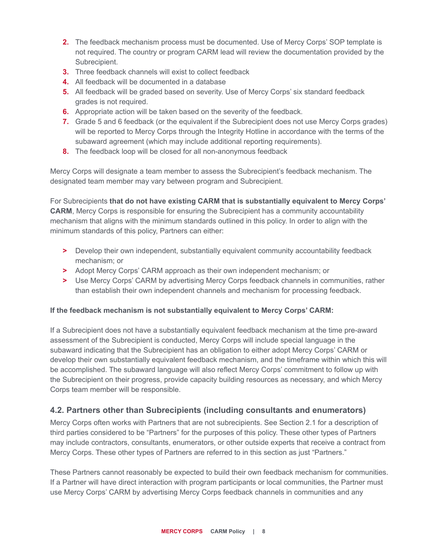- **2.** The feedback mechanism process must be documented. Use of Mercy Corps' SOP template is not required. The country or program CARM lead will review the documentation provided by the Subrecipient.
- **3.** Three feedback channels will exist to collect feedback
- **4.** All feedback will be documented in a database
- **5.** All feedback will be graded based on severity. Use of Mercy Corps' six standard feedback grades is not required.
- **6.** Appropriate action will be taken based on the severity of the feedback.
- **7.** Grade 5 and 6 feedback (or the equivalent if the Subrecipient does not use Mercy Corps grades) will be reported to Mercy Corps through the Integrity Hotline in accordance with the terms of the subaward agreement (which may include additional reporting requirements).
- **8.** The feedback loop will be closed for all non-anonymous feedback

Mercy Corps will designate a team member to assess the Subrecipient's feedback mechanism. The designated team member may vary between program and Subrecipient.

For Subrecipients **that do not have existing CARM that is substantially equivalent to Mercy Corps' CARM**, Mercy Corps is responsible for ensuring the Subrecipient has a community accountability mechanism that aligns with the minimum standards outlined in this policy. In order to align with the minimum standards of this policy, Partners can either:

- **>** Develop their own independent, substantially equivalent community accountability feedback mechanism; or
- **>** Adopt Mercy Corps' CARM approach as their own independent mechanism; or
- **>** Use Mercy Corps' CARM by advertising Mercy Corps feedback channels in communities, rather than establish their own independent channels and mechanism for processing feedback.

#### **If the feedback mechanism is not substantially equivalent to Mercy Corps' CARM:**

If a Subrecipient does not have a substantially equivalent feedback mechanism at the time pre-award assessment of the Subrecipient is conducted, Mercy Corps will include special language in the subaward indicating that the Subrecipient has an obligation to either adopt Mercy Corps' CARM or develop their own substantially equivalent feedback mechanism, and the timeframe within which this will be accomplished. The subaward language will also reflect Mercy Corps' commitment to follow up with the Subrecipient on their progress, provide capacity building resources as necessary, and which Mercy Corps team member will be responsible.

# **4.2. Partners other than Subrecipients (including consultants and enumerators)**

Mercy Corps often works with Partners that are not subrecipients. See Section 2.1 for a description of third parties considered to be "Partners" for the purposes of this policy. These other types of Partners may include contractors, consultants, enumerators, or other outside experts that receive a contract from Mercy Corps. These other types of Partners are referred to in this section as just "Partners."

These Partners cannot reasonably be expected to build their own feedback mechanism for communities. If a Partner will have direct interaction with program participants or local communities, the Partner must use Mercy Corps' CARM by advertising Mercy Corps feedback channels in communities and any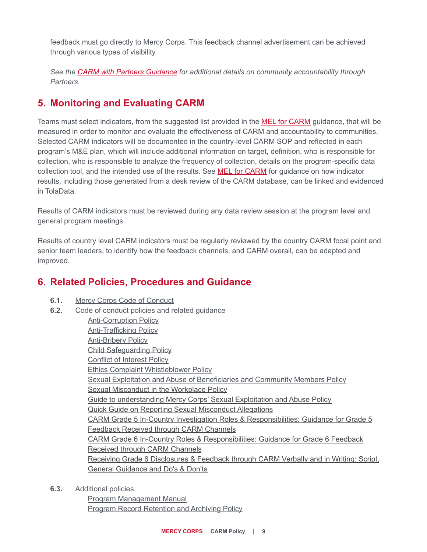feedback must go directly to Mercy Corps. This feedback channel advertisement can be achieved through various types of visibility.

*See the [CARM with Partners Guidance](https://library.mercycorps.org/record/32906/files/CARMwithPartnersGuidance.pdf) for additional details on community accountability through Partners.*

# **5. Monitoring and Evaluating CARM**

Teams must select indicators, from the suggested list provided in the [MEL for CARM](https://library.mercycorps.org/record/31817?ln=en) guidance, that will be measured in order to monitor and evaluate the effectiveness of CARM and accountability to communities. Selected CARM indicators will be documented in the country-level CARM SOP and reflected in each program's M&E plan, which will include additional information on target, definition, who is responsible for collection, who is responsible to analyze the frequency of collection, details on the program-specific data collection tool, and the intended use of the results. See [MEL for CARM](https://library.mercycorps.org/record/31817?ln=en) for guidance on how indicator results, including those generated from a desk review of the CARM database, can be linked and evidenced in TolaData.

Results of CARM indicators must be reviewed during any data review session at the program level and general program meetings.

Results of country level CARM indicators must be regularly reviewed by the country CARM focal point and senior team leaders, to identify how the feedback channels, and CARM overall, can be adapted and improved.

# **6. Related Policies, Procedures and Guidance**

- **6.1.** [Mercy Corps Code of Conduct](http://library.mercycorps.org/record/16915/files/MercyCorpsCodeofConduct.pdf)
- **6.2.** Code of conduct policies and related guidance

[Anti-Corruption Policy](http://library.mercycorps.org/record/14607/files/Anti-CorruptionPolicy.pdf) [Anti-Trafficking Policy](http://library.mercycorps.org/record/20873/files/Anti-TraffickingPolicy.pdf) [Anti-Bribery Policy](http://library.mercycorps.org/record/14606/files/AntiBriberyPolicy.pdf) [Child Safeguarding Policy](http://library.mercycorps.org/record/25692/files/ChildSafeguardingPolicy.pdf) [Conflict of Interest Policy](https://library.mercycorps.org/record/28137/files/MCConflictofInterestPolicy.pdf) [Ethics Complaint Whistleblower Policy](https://library.mercycorps.org/record/25514/files/EthicsComplaintWhistleblowerPolicy.pdf) [Sexual Exploitation and Abuse of Beneficiaries and Community Members Policy](https://library.mercycorps.org/record/27580/files/PSEABeneficiariesCommunityMembers.pdf) [Sexual Misconduct in the Workplace Policy](https://library.mercycorps.org/record/27579/files/MCSexualMisconductPolicy.pdf) [Guide to understanding Mercy Corps' Sexual Exploitation and Abuse Policy](https://library.mercycorps.org/record/28366/files/PSEAGuidetoSexualExploitationPolicy.pdf) [Quick Guide on Reporting Sexual Misconduct Allegations](https://library.mercycorps.org/record/25515/files/ECWPSexualMisconductReportingGd.pdf) [CARM Grade 5 In-Country Investigation Roles & Responsibilities: Guidance for Grade 5](https://library.mercycorps.org/record/35857?ln=en) [Feedback Received through CARM Channels](https://library.mercycorps.org/record/35857?ln=en) [CARM Grade 6 In-Country Roles & Responsibilities: Guidance for Grade 6 Feedback](https://library.mercycorps.org/record/35856?ln=en) [Received through CARM Channels](https://library.mercycorps.org/record/35856?ln=en) [Receiving Grade 6 Disclosures & Feedback through CARM Verbally and in Writing: Script,](https://library.mercycorps.org/record/35855?ln=en) [General Guidance and Do's & Don'ts](https://library.mercycorps.org/record/35855?ln=en)

**6.3.** Additional policies

[Program Management Manual](http://library.mercycorps.org/record/12744/files/ProgramManagementManualPMM.pdf) [Program Record Retention and Archiving Policy](https://mcdl.mercycorps.org/gsdl/docs/ProgramRecordRetentionPolicyProcedures.pdf)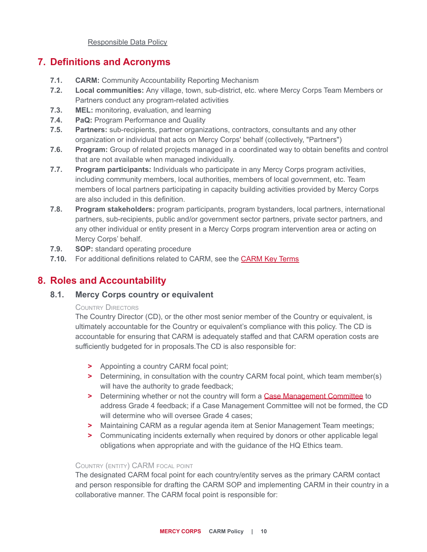[Responsible Data Policy](https://mcdl.mercycorps.org/gsdl/docs/ResponsibleDataPolicy.pdf)

# <span id="page-9-0"></span>**7. Definitions and Acronyms**

- **7.1. CARM:** Community Accountability Reporting Mechanism
- **7.2. Local communities:** Any village, town, sub-district, etc. where Mercy Corps Team Members or Partners conduct any program-related activities
- **7.3. MEL:** monitoring, evaluation, and learning
- **7.4. PaQ:** Program Performance and Quality
- **7.5. Partners:** sub-recipients, partner organizations, contractors, consultants and any other organization or individual that acts on Mercy Corps' behalf (collectively, "Partners")
- **7.6. Program:** Group of related projects managed in a coordinated way to obtain benefits and control that are not available when managed individually.
- **7.7. Program participants:** Individuals who participate in any Mercy Corps program activities, including community members, local authorities, members of local government, etc. Team members of local partners participating in capacity building activities provided by Mercy Corps are also included in this definition.
- **7.8. Program stakeholders:** program participants, program bystanders, local partners, international partners, sub-recipients, public and/or government sector partners, private sector partners, and any other individual or entity present in a Mercy Corps program intervention area or acting on Mercy Corps' behalf.
- **7.9. SOP:** standard operating procedure
- **7.10.** For additional definitions related to CARM, see the [CARM Key Terms](https://docs.google.com/document/d/1oOvmO_Ewr3m_qK-zFUFSN6pRG7HR7Guth5BOzuemsG8/edit?usp=sharing)

# **8. Roles and Accountability**

#### **8.1. Mercy Corps country or equivalent**

#### COUNTRY DIRECTORS

The Country Director (CD), or the other most senior member of the Country or equivalent, is ultimately accountable for the Country or equivalent's compliance with this policy. The CD is accountable for ensuring that CARM is adequately staffed and that CARM operation costs are sufficiently budgeted for in proposals.The CD is also responsible for:

- **>** Appointing a country CARM focal point;
- **>** Determining, in consultation with the country CARM focal point, which team member(s) will have the authority to grade feedback;
- **>** Determining whether or not the country will form a [Case Management Committee](http://library.mercycorps.org/record/31740/files/CaseManagementCommittees.pdf) to address Grade 4 feedback; if a Case Management Committee will not be formed, the CD will determine who will oversee Grade 4 cases:
- **>** Maintaining CARM as a regular agenda item at Senior Management Team meetings;
- **>** Communicating incidents externally when required by donors or other applicable legal obligations when appropriate and with the guidance of the HQ Ethics team.

#### COUNTRY (ENTITY) CARM FOCAL POINT

The designated CARM focal point for each country/entity serves as the primary CARM contact and person responsible for drafting the CARM SOP and implementing CARM in their country in a collaborative manner. The CARM focal point is responsible for: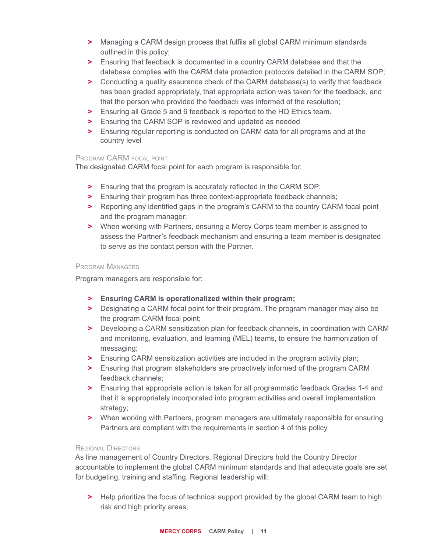- **>** Managing a CARM design process that fulfils all global CARM minimum standards outlined in this policy;
- **>** Ensuring that feedback is documented in a country CARM database and that the database complies with the CARM data protection protocols detailed in the CARM SOP;
- **>** Conducting a quality assurance check of the CARM database(s) to verify that feedback has been graded appropriately, that appropriate action was taken for the feedback, and that the person who provided the feedback was informed of the resolution;
- **>** Ensuring all Grade 5 and 6 feedback is reported to the HQ Ethics team.
- **>** Ensuring the CARM SOP is reviewed and updated as needed
- **>** Ensuring regular reporting is conducted on CARM data for all programs and at the country level

#### PROGRAM CARM FOCAL POINT

The designated CARM focal point for each program is responsible for:

- **>** Ensuring that the program is accurately reflected in the CARM SOP;
- **>** Ensuring their program has three context-appropriate feedback channels;
- **>** Reporting any identified gaps in the program's CARM to the country CARM focal point and the program manager;
- **>** When working with Partners, ensuring a Mercy Corps team member is assigned to assess the Partner's feedback mechanism and ensuring a team member is designated to serve as the contact person with the Partner.

#### PROGRAM MANAGERS

Program managers are responsible for:

- **> Ensuring CARM is operationalized within their program;**
- **>** Designating a CARM focal point for their program. The program manager may also be the program CARM focal point;
- **>** Developing a CARM sensitization plan for feedback channels, in coordination with CARM and monitoring, evaluation, and learning (MEL) teams, to ensure the harmonization of messaging;
- **>** Ensuring CARM sensitization activities are included in the program activity plan;
- **>** Ensuring that program stakeholders are proactively informed of the program CARM feedback channels;
- **>** Ensuring that appropriate action is taken for all programmatic feedback Grades 1-4 and that it is appropriately incorporated into program activities and overall implementation strategy:
- **>** When working with Partners, program managers are ultimately responsible for ensuring Partners are compliant with the requirements in section 4 of this policy.

#### REGIONAL DIRECTORS

As line management of Country Directors, Regional Directors hold the Country Director accountable to implement the global CARM minimum standards and that adequate goals are set for budgeting, training and staffing. Regional leadership will:

**>** Help prioritize the focus of technical support provided by the global CARM team to high risk and high priority areas;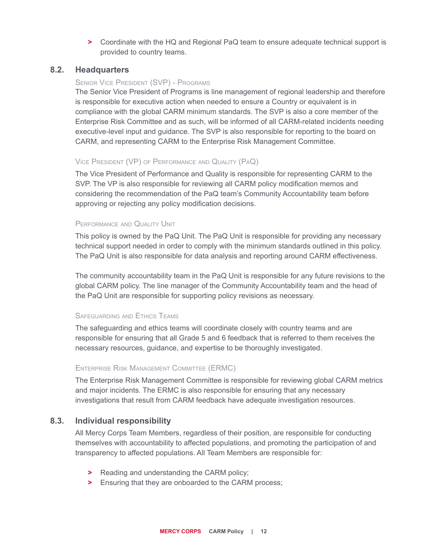**>** Coordinate with the HQ and Regional PaQ team to ensure adequate technical support is provided to country teams.

#### **8.2. Headquarters**

#### SENIOR VICE PRESIDENT (SVP) - PROGRAMS

The Senior Vice President of Programs is line management of regional leadership and therefore is responsible for executive action when needed to ensure a Country or equivalent is in compliance with the global CARM minimum standards. The SVP is also a core member of the Enterprise Risk Committee and as such, will be informed of all CARM-related incidents needing executive-level input and guidance. The SVP is also responsible for reporting to the board on CARM, and representing CARM to the Enterprise Risk Management Committee.

#### VICE PRESIDENT (VP) OF PERFORMANCE AND QUALITY (PAQ)

The Vice President of Performance and Quality is responsible for representing CARM to the SVP. The VP is also responsible for reviewing all CARM policy modification memos and considering the recommendation of the PaQ team's Community Accountability team before approving or rejecting any policy modification decisions.

#### PERFORMANCE AND QUALITY UNIT

This policy is owned by the PaQ Unit. The PaQ Unit is responsible for providing any necessary technical support needed in order to comply with the minimum standards outlined in this policy. The PaQ Unit is also responsible for data analysis and reporting around CARM effectiveness.

The community accountability team in the PaQ Unit is responsible for any future revisions to the global CARM policy. The line manager of the Community Accountability team and the head of the PaQ Unit are responsible for supporting policy revisions as necessary.

#### SAFEGUARDING AND ETHICS TEAMS

The safeguarding and ethics teams will coordinate closely with country teams and are responsible for ensuring that all Grade 5 and 6 feedback that is referred to them receives the necessary resources, guidance, and expertise to be thoroughly investigated.

#### ENTERPRISE RISK MANAGEMENT COMMITTEE (ERMC)

The Enterprise Risk Management Committee is responsible for reviewing global CARM metrics and major incidents. The ERMC is also responsible for ensuring that any necessary investigations that result from CARM feedback have adequate investigation resources.

#### **8.3. Individual responsibility**

All Mercy Corps Team Members, regardless of their position, are responsible for conducting themselves with accountability to affected populations, and promoting the participation of and transparency to affected populations. All Team Members are responsible for:

- **>** Reading and understanding the CARM policy;
- **>** Ensuring that they are onboarded to the CARM process;